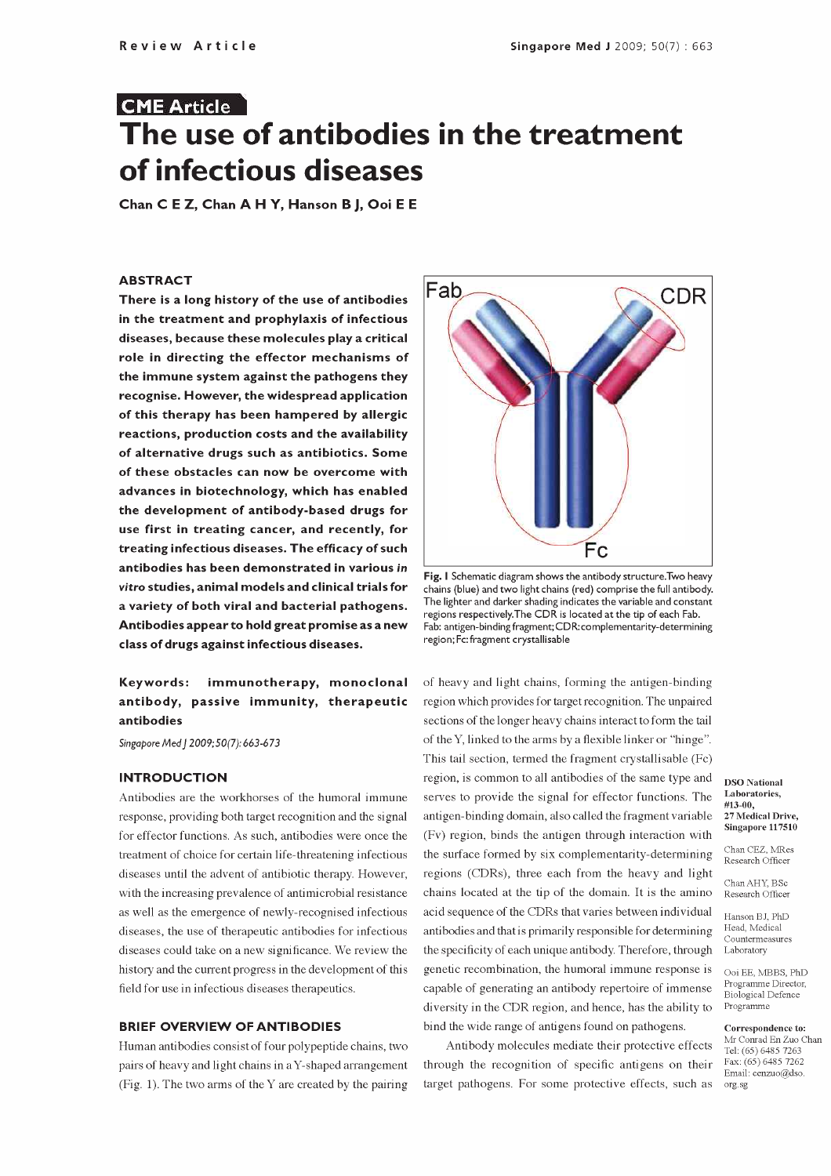# CME Article The use of antibodies in the treatment of infectious diseases

Chan C E Z, Chan A H Y, Hanson B J, Ooi E E

#### ABSTRACT

 $\overline{r}$  There is a long history of the use of antibodies  $\overline{r}$   $\overline{r}$   $\overline{r}$ in the treatment and prophylaxis of infectious diseases, because these molecules play a critical role in directing the effector mechanisms of the immune system against the pathogens they recognise. However, the widespread application of this therapy has been hampered by allergic reactions, production costs and the availability of alternative drugs such as antibiotics. Some of these obstacles can now be overcome with advances in biotechnology, which has enabled the development of antibody -based drugs for use first in treating cancer, and recently, for treating infectious diseases. The efficacy of such antibodies has been demonstrated in various in vitro studies, animal models and clinical trials for a variety of both viral and bacterial pathogens. In all alter and darker shading indicates the variable and consta<br>regions respectively. The CDR is located at the tip of each Fab. Antibodies appear to hold great promise as a new class of drugs against infectious diseases.

## Keywords: immunotherapy, monoclonal antibody, passive immunity, therapeutic antibodies

Singapore Med J 2009; 50(7): 663-673

#### INTRODUCTION

Antibodies are the workhorses of the humoral immune response, providing both target recognition and the signal for effector functions. As such, antibodies were once the treatment of choice for certain life -threatening infectious diseases until the advent of antibiotic therapy. However, with the increasing prevalence of antimicrobial resistance as well as the emergence of newly -recognised infectious diseases, the use of therapeutic antibodies for infectious diseases could take on a new significance. We review the history and the current progress in the development of this field for use in infectious diseases therapeutics.

#### BRIEF OVERVIEW OF ANTIBODIES

Human antibodies consist of four polypeptide chains, two pairs of heavy and light chains in aY-shaped arrangement (Fig. 1). The two arms of the Y are created by the pairing



Fig. I Schematic diagram shows the antibody structure.Two heavy chains (blue) and two light chains (red) comprise the full antibody. The lighter and darker shading indicates the variable and constant Fab: antigen-binding fragment; CDR: complementarity-determining region; Fc: fragment crystallisable

of heavy and light chains, forming the antigen -binding region which provides for target recognition. The unpaired sections of the longer heavy chains interact to form the tail of the Y, linked to the arms by a flexible linker or "hinge". This tail section, termed the fragment crystallisable (Fc) region, is common to all antibodies of the same type and serves to provide the signal for effector functions. The antigen-binding domain, also called the fragment variable 27 Medical Drive, (Fv) region, binds the antigen through interaction with the surface formed by six complementarity-determining regions (CDRs), three each from the heavy and light chains located at the tip of the domain. It is the amino acid sequence of the CDRs that varies between individual antibodies and that is primarily responsible for determining the specificity of each unique antibody. Therefore, through genetic recombination, the humoral immune response is capable of generating an antibody repertoire of immense diversity in the CDR region, and hence, has the ability to bind the wide range of antigens found on pathogens.

Antibody molecules mediate their protective effects  $\frac{\text{Mr Conrad En Zuo}}{\text{Tel: (65) 6485 7263}}$ through the recognition of specific antigens on their target pathogens. For some protective effects, such as

#### DSO National Laboratories, #13-00, 27 Medical Drive,

Chan CEZ, MRes Research Officer

Chan AHY, BSc Research Officer

Hanson BJ, PhD Countermeasures Laboratory

Ooi EE, MBBS, PhD Programme Director, Biological Defence Programme

Correspondence to: Mr Conrad En Zuo Chan Fax: (65) 6485 7262 Email: cenzuo@dso. org.sg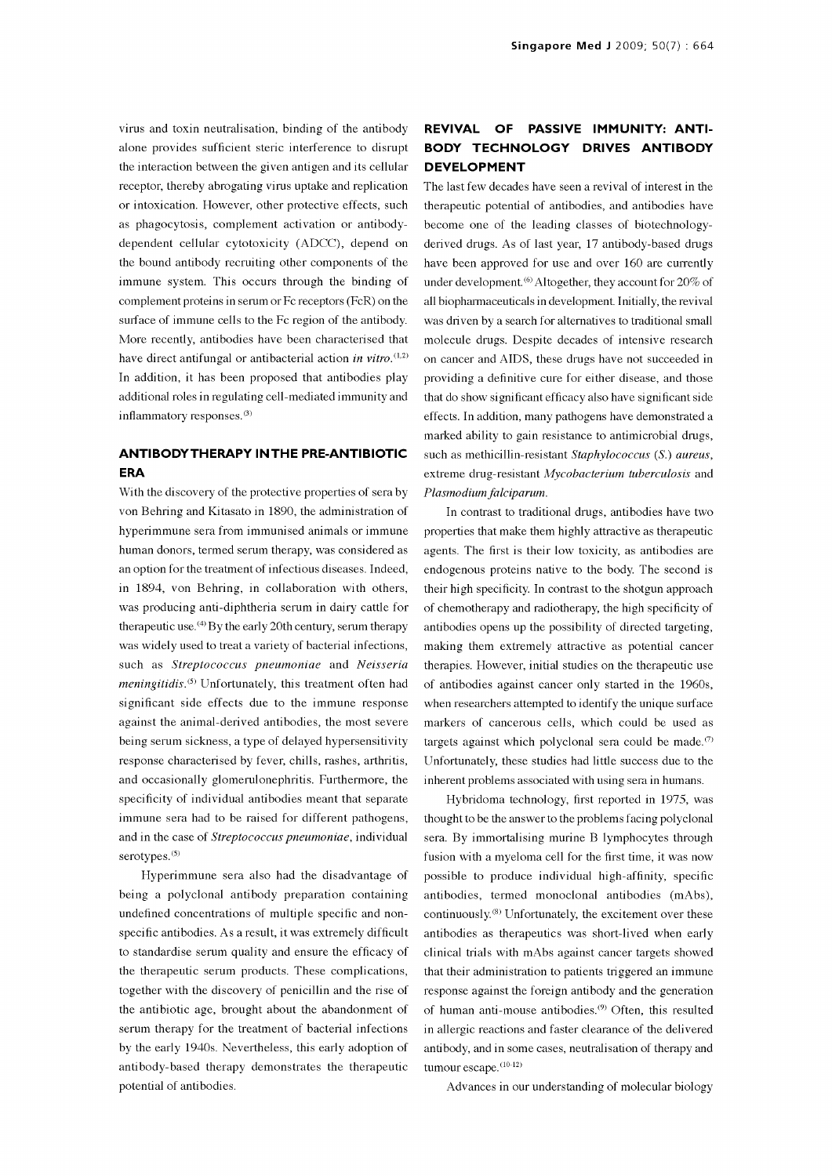virus and toxin neutralisation, binding of the antibody alone provides sufficient steric interference to disrupt the interaction between the given antigen and its cellular receptor, thereby abrogating virus uptake and replication or intoxication. However, other protective effects, such as phagocytosis, complement activation or antibodydependent cellular cytotoxicity (ADCC), depend on the bound antibody recruiting other components of the immune system. This occurs through the binding of complement proteins in serum or Fc receptors (FcR) on the all biopharmaceuticals in development. Initially, the revival surface of immune cells to the Fc region of the antibody. More recently, antibodies have been characterised that have direct antifungal or antibacterial action in vitro.<sup> $(1,2)$ </sup> In addition, it has been proposed that antibodies play additional roles in regulating cell -mediated immunity and inflammatory responses.<sup>(3)</sup>

### ANTIBODYTHERAPY IN THE PRE -ANTIBIOTIC ERA

With the discovery of the protective properties of sera by von Behring and Kitasato in 1890, the administration of hyperimmune sera from immunised animals or immune human donors, termed serum therapy, was considered as an option for the treatment of infectious diseases. Indeed, in 1894, von Behring, in collaboration with others, was producing anti -diphtheria serum in dairy cattle for therapeutic use.<sup>(4)</sup> By the early 20th century, serum therapy was widely used to treat a variety of bacterial infections, such as Streptococcus pneumoniae and Neisseria  $meningitidis$ .<sup> $(5)$ </sup> Unfortunately, this treatment often had significant side effects due to the immune response against the animal -derived antibodies, the most severe being serum sickness, a type of delayed hypersensitivity response characterised by fever, chills, rashes, arthritis, and occasionally glomerulonephritis. Furthermore, the specificity of individual antibodies meant that separate immune sera had to be raised for different pathogens, and in the case of Streptococcus pneumoniae, individual serotypes.<sup>(5)</sup>

Hyperimmune sera also had the disadvantage of being a polyclonal antibody preparation containing undefined concentrations of multiple specific and non- specific antibodies. As a result, it was extremely difficult to standardise serum quality and ensure the efficacy of the therapeutic serum products. These complications, together with the discovery of penicillin and the rise of the antibiotic age, brought about the abandonment of serum therapy for the treatment of bacterial infections by the early 1940s. Nevertheless, this early adoption of antibody -based therapy demonstrates the therapeutic potential of antibodies.

# REVIVAL OF PASSIVE IMMUNITY: ANTI-BODY TECHNOLOGY DRIVES ANTIBODY DEVELOPMENT

The last few decades have seen a revival of interest in the therapeutic potential of antibodies, and antibodies have become one of the leading classes of biotechnologyderived drugs. As of last year, 17 antibody -based drugs have been approved for use and over 160 are currently under development.<sup>(6)</sup> Altogether, they account for 20% of was driven by a search for alternatives to traditional small molecule drugs. Despite decades of intensive research on cancer and AIDS, these drugs have not succeeded in providing a definitive cure for either disease, and those that do show significant efficacy also have significant side effects. In addition, many pathogens have demonstrated a marked ability to gain resistance to antimicrobial drugs, such as methicillin-resistant Staphylococcus (S.) aureus, extreme drug-resistant Mycobacterium tuberculosis and Plasmodium falciparum.

In contrast to traditional drugs, antibodies have two properties that make them highly attractive as therapeutic agents. The first is their low toxicity, as antibodies are endogenous proteins native to the body. The second is their high specificity. In contrast to the shotgun approach of chemotherapy and radiotherapy, the high specificity of antibodies opens up the possibility of directed targeting, making them extremely attractive as potential cancer therapies. However, initial studies on the therapeutic use of antibodies against cancer only started in the 1960s, when researchers attempted to identify the unique surface markers of cancerous cells, which could be used as targets against which polyclonal sera could be made.<sup> $\sigma$ </sup> Unfortunately, these studies had little success due to the inherent problems associated with using sera in humans.

Hybridoma technology, first reported in 1975, was thought to be the answer to the problems facing polyclonal sera. By immortalising murine B lymphocytes through fusion with a myeloma cell for the first time, it was now possible to produce individual high -affinity, specific antibodies, termed monoclonal antibodies (mAbs), continuously. $(8)$  Unfortunately, the excitement over these antibodies as therapeutics was short-lived when early clinical trials with mAbs against cancer targets showed that their administration to patients triggered an immune response against the foreign antibody and the generation of human anti-mouse antibodies.<sup>(9)</sup> Often, this resulted in allergic reactions and faster clearance of the delivered antibody, and in some cases, neutralisation of therapy and tumour escape. (10-12)

Advances in our understanding of molecular biology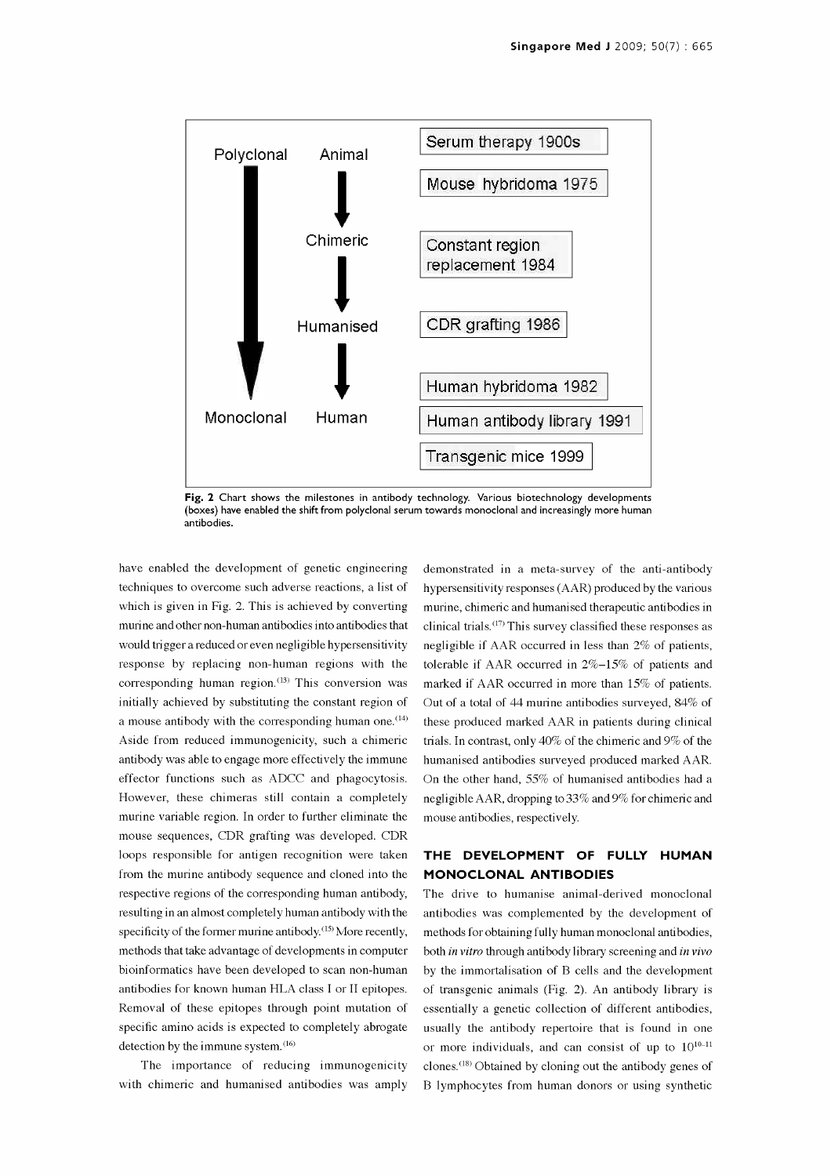

Fig. 2 Chart shows the milestones in antibody technology. Various biotechnology developments (boxes) have enabled the shift from polyclonal serum towards monoclonal and increasingly more human antibodies.

have enabled the development of genetic engineering techniques to overcome such adverse reactions, a list of which is given in Fig. 2. This is achieved by converting murine and other non -human antibodies into antibodies that would trigger a reduced or even negligible hypersensitivity response by replacing non -human regions with the corresponding human region. $(13)$  This conversion was initially achieved by substituting the constant region of a mouse antibody with the corresponding human one.<sup>(14)</sup> Aside from reduced immunogenicity, such a chimeric antibody was able to engage more effectively the immune effector functions such as ADCC and phagocytosis. However, these chimeras still contain a completely murine variable region. In order to further eliminate the mouse sequences, CDR grafting was developed. CDR loops responsible for antigen recognition were taken from the murine antibody sequence and cloned into the respective regions of the corresponding human antibody, resulting in an almost completely human antibody with the specificity of the former murine antibody.<sup>(15)</sup> More recently, methods that take advantage of developments in computer bioinformatics have been developed to scan non -human antibodies for known human HLA class I or II epitopes. Removal of these epitopes through point mutation of specific amino acids is expected to completely abrogate usually the antibody repertoire that is found in one detection by the immune system.<sup>(16)</sup>

The importance of reducing immunogenicity with chimeric and humanised antibodies was amply

demonstrated in a meta-survey of the anti-antibody hypersensitivity responses (AAR) produced by the various murine, chimeric and humanised therapeutic antibodies in clinical trials.(17) This survey classified these responses as negligible if AAR occurred in less than 2% of patients, tolerable if AAR occurred in 2%-15% of patients and marked if AAR occurred in more than 15% of patients. Out of a total of 44 murine antibodies surveyed, 84% of these produced marked AAR in patients during clinical trials. In contrast, only 40% of the chimeric and 9% of the humanised antibodies surveyed produced marked AAR. On the other hand, 55% of humanised antibodies had a negligible AAR, dropping to 33% and 9% for chimeric and mouse antibodies, respectively.

#### THE DEVELOPMENT OF FULLY HUMAN MONOCLONAL ANTIBODIES

The drive to humanise animal-derived monoclonal antibodies was complemented by the development of methods for obtaining fully human monoclonal antibodies, both in vitro through antibody library screening and in vivo by the immortalisation of B cells and the development of transgenic animals (Fig. 2). An antibody library is essentially a genetic collection of different antibodies, or more individuals, and can consist of up to  $10^{10-11}$ clones. (18) Obtained by cloning out the antibody genes of B lymphocytes from human donors or using synthetic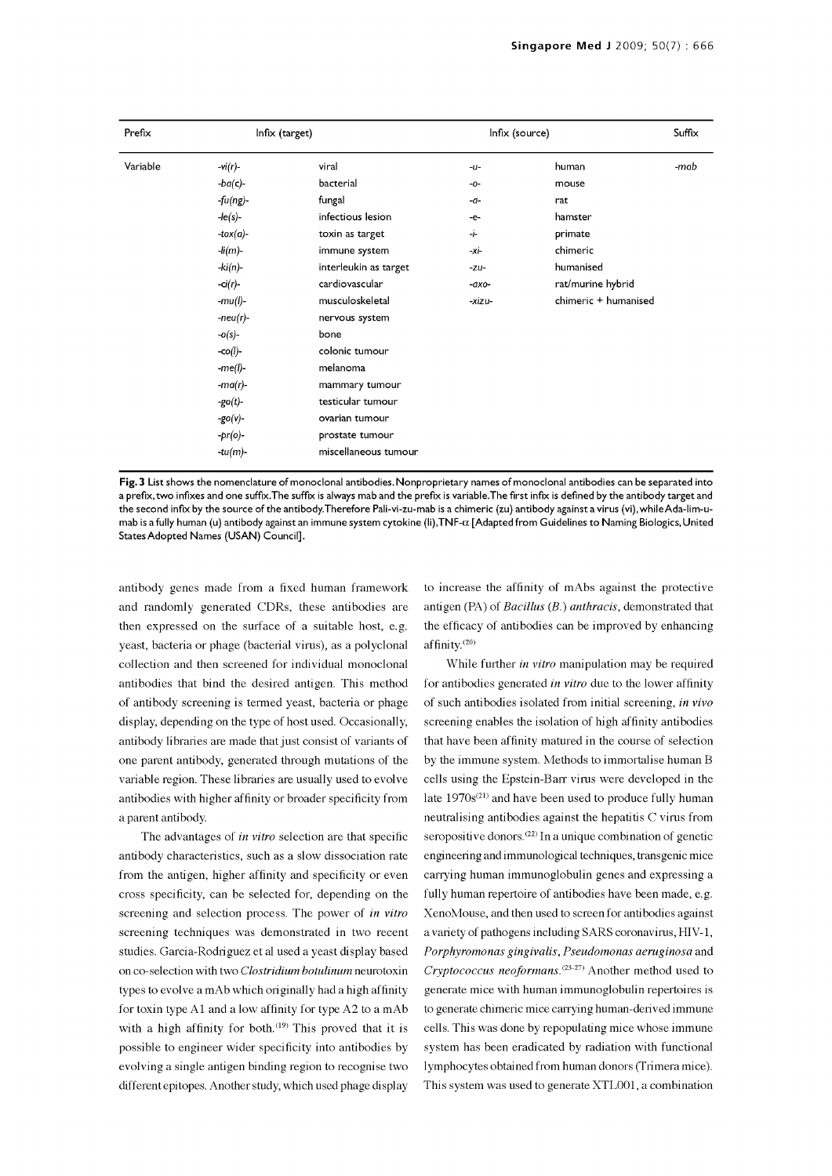| Prefix<br>Variable | Infix (target) |                       | Infix (source) |                      | Suffix |
|--------------------|----------------|-----------------------|----------------|----------------------|--------|
|                    | $-vi(r)$ -     | viral                 | $-u-$          | human                | -mab   |
|                    | $-ba(c)-$      | bacterial             | -0-            | mouse                |        |
|                    | $-fu(ng)$ -    | fungal                | $-a-$          | rat                  |        |
|                    | $-le(s)-$      | infectious lesion     | -e-            | hamster              |        |
|                    | -tox $(a)$ -   | toxin as target       | ÷              | primate              |        |
|                    | -li(m)-        | immune system         | -xi-           | chimeric             |        |
|                    | -ki(n)-        | interleukin as target | $-zu-$         | humanised            |        |
|                    | $-ci(r)-$      | cardiovascular        | $-axo-$        | rat/murine hybrid    |        |
|                    | -mu(l)-        | musculoskeletal       | -xizu-         | chimeric + humanised |        |
|                    | $-neu(r)$ -    | nervous system        |                |                      |        |
|                    | $-o(s)-$       | bone                  |                |                      |        |
|                    | $-co(l)$ -     | colonic tumour        |                |                      |        |
|                    | $-me(l)$ -     | melanoma              |                |                      |        |
|                    | $-ma(r)$ -     | mammary tumour        |                |                      |        |
|                    | $-go(t)$ -     | testicular tumour     |                |                      |        |
|                    | $-go(v)$ -     | ovarian tumour        |                |                      |        |
|                    | -pr(o)-        | prostate tumour       |                |                      |        |
|                    | -tu(m)-        | miscellaneous tumour  |                |                      |        |

Fig. 3 List shows the nomenclature of monoclonal antibodies. Nonproprietary names of monoclonal antibodies can be separated into <sup>a</sup>prefix,two infixes and one suffix.The suffix is always mab and the prefix is variable.The first infix is defined by the antibody target and the second infix by the source of the antibody.Therefore Pali-vi-zu-mab is a chimeric (zu) antibody against a virus (vi),whileAda-lim-umab is a fully human (u) antibody against an immune system cytokine (li),TNF- $\alpha$  [Adapted from Guidelines to Naming Biologics, United States Adopted Names (USAN) Council].

antibody genes made from a fixed human framework and randomly generated CDRs, these antibodies are then expressed on the surface of a suitable host, e.g. yeast, bacteria or phage (bacterial virus), as a polyclonal collection and then screened for individual monoclonal antibodies that bind the desired antigen. This method of antibody screening is termed yeast, bacteria or phage display, depending on the type of host used. Occasionally, antibody libraries are made that just consist of variants of one parent antibody, generated through mutations of the variable region. These libraries are usually used to evolve antibodies with higher affinity or broader specificity from a parent antibody.

The advantages of *in vitro* selection are that specific antibody characteristics, such as a slow dissociation rate from the antigen, higher affinity and specificity or even cross specificity, can be selected for, depending on the screening and selection process. The power of in vitro screening techniques was demonstrated in two recent studies. Garcia -Rodriguez et al used a yeast display based on co -selection with two Clostridium botulinum neurotoxin types to evolve a mAb which originally had a high affinity for toxin type Al and a low affinity for type A2 to a mAb with a high affinity for both.<sup> $(19)$ </sup> This proved that it is possible to engineer wider specificity into antibodies by evolving a single antigen binding region to recognise two different epitopes. Another study, which used phage display

to increase the affinity of mAbs against the protective antigen (PA) of Bacillus (B.) anthracis, demonstrated that the efficacy of antibodies can be improved by enhancing affinity. $(20)$ 

While further *in vitro* manipulation may be required for antibodies generated in vitro due to the lower affinity of such antibodies isolated from initial screening, in vivo screening enables the isolation of high affinity antibodies that have been affinity matured in the course of selection by the immune system. Methods to immortalise human B cells using the Epstein -Barr virus were developed in the late 1970s<sup>(21)</sup> and have been used to produce fully human neutralising antibodies against the hepatitis C virus from seropositive donors.<sup>(22)</sup> In a unique combination of genetic engineering and immunological techniques, transgenic mice carrying human immunoglobulin genes and expressing a fully human repertoire of antibodies have been made, e.g. XenoMouse, and then used to screen for antibodies against a variety of pathogens including SARS coronavirus, HIV-1, Porphyromonas gingivalis, Pseudomonas aeruginosa and Cryptococcus neoformans. $(23-27)$  Another method used to generate mice with human immunoglobulin repertoires is to generate chimeric mice carrying human -derived immune cells. This was done by repopulating mice whose immune system has been eradicated by radiation with functional lymphocytes obtained from human donors (Trimera mice). This system was used to generate XTL001, a combination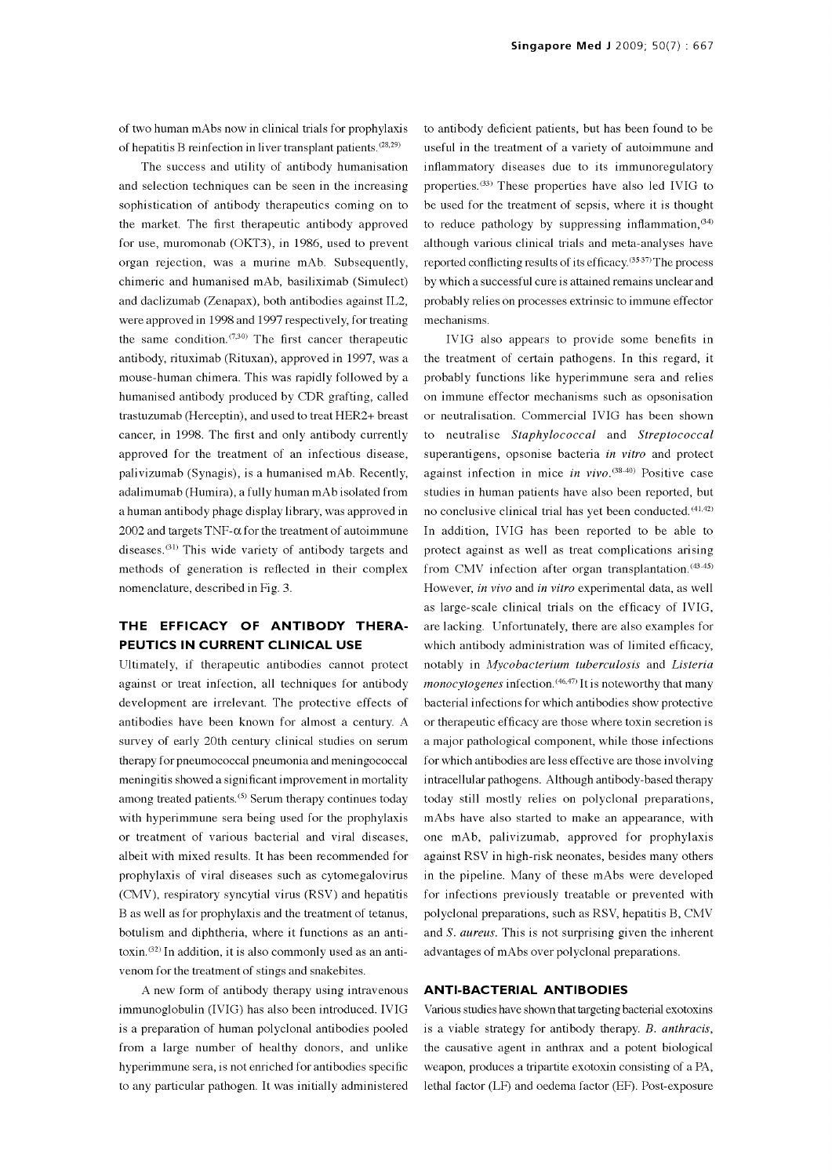of two human mAbs now in clinical trials for prophylaxis of hepatitis B reinfection in liver transplant patients.<sup>(28,29)</sup>

The success and utility of antibody humanisation and selection techniques can be seen in the increasing sophistication of antibody therapeutics coming on to the market. The first therapeutic antibody approved for use, muromonab (OKT3), in 1986, used to prevent organ rejection, was a murine mAb. Subsequently, chimeric and humanised mAb, basiliximab (Simulect) and daclizumab (Zenapax), both antibodies against IL2, were approved in 1998 and 1997 respectively, for treating the same condition. $(7,30)$  The first cancer therapeutic antibody, rituximab (Rituxan), approved in 1997, was a mouse -human chimera. This was rapidly followed by a humanised antibody produced by CDR grafting, called trastuzumab (Herceptin), and used to treat HER2+ breast cancer, in 1998. The first and only antibody currently approved for the treatment of an infectious disease, palivizumab (Synagis), is a humanised mAb. Recently, adalimumab (Humira), a fully human mAb isolated from a human antibody phage display library, was approved in 2002 and targets  $TNF-\alpha$  for the treatment of autoimmune diseases.<sup> $(31)$ </sup> This wide variety of antibody targets and methods of generation is reflected in their complex nomenclature, described in Fig. 3.

### THE EFFICACY OF ANTIBODY THERA-PEUTICS IN CURRENT CLINICAL USE

Ultimately, if therapeutic antibodies cannot protect against or treat infection, all techniques for antibody development are irrelevant. The protective effects of antibodies have been known for almost a century. A survey of early 20th century clinical studies on serum therapy for pneumococcal pneumonia and meningococcal meningitis showed a significant improvement in mortality among treated patients.<sup>(5)</sup> Serum therapy continues today with hyperimmune sera being used for the prophylaxis or treatment of various bacterial and viral diseases, albeit with mixed results. It has been recommended for prophylaxis of viral diseases such as cytomegalovirus (CMV), respiratory syncytial virus (RSV) and hepatitis B as well as for prophylaxis and the treatment of tetanus, botulism and diphtheria, where it functions as an antitoxin.<sup> $(32)$ </sup> In addition, it is also commonly used as an antivenom for the treatment of stings and snakebites.

A new form of antibody therapy using intravenous immunoglobulin (IVIG) has also been introduced. IVIG is a preparation of human polyclonal antibodies pooled from a large number of healthy donors, and unlike hyperimmune sera, is not enriched for antibodies specific to any particular pathogen. It was initially administered

to antibody deficient patients, but has been found to be useful in the treatment of a variety of autoimmune and inflammatory diseases due to its immunoregulatory properties.(33) These properties have also led IVIG to be used for the treatment of sepsis, where it is thought to reduce pathology by suppressing inflammation,  $(34)$ although various clinical trials and meta -analyses have reported conflicting results of its efficacy.<sup>(35-37)</sup> The process by which a successful cure is attained remains unclear and probably relies on processes extrinsic to immune effector mechanisms.

IVIG also appears to provide some benefits in the treatment of certain pathogens. In this regard, it probably functions like hyperimmune sera and relies on immune effector mechanisms such as opsonisation or neutralisation. Commercial IVIG has been shown to neutralise Staphylococcal and Streptococcal superantigens, opsonise bacteria in vitro and protect against infection in mice in vivo.<sup>(38-40)</sup> Positive case studies in human patients have also been reported, but no conclusive clinical trial has yet been conducted. (41,42) In addition, IVIG has been reported to be able to protect against as well as treat complications arising from CMV infection after organ transplantation.<sup>(43-45)</sup> However, in vivo and in vitro experimental data, as well as large-scale clinical trials on the efficacy of IVIG, are lacking. Unfortunately, there are also examples for which antibody administration was of limited efficacy, notably in Mycobacterium tuberculosis and Listeria  $monocy to genes infection.$ <sup> $(46,47)$ </sup> It is noteworthy that many bacterial infections for which antibodies show protective or therapeutic efficacy are those where toxin secretion is a major pathological component, while those infections for which antibodies are less effective are those involving intracellular pathogens. Although antibody -based therapy today still mostly relies on polyclonal preparations, mAbs have also started to make an appearance, with one mAb, palivizumab, approved for prophylaxis against RSV in high-risk neonates, besides many others in the pipeline. Many of these mAbs were developed for infections previously treatable or prevented with polyclonal preparations, such as RSV, hepatitis B, CMV and S. aureus. This is not surprising given the inherent advantages of mAbs over polyclonal preparations.

#### **ANTI-BACTERIAL ANTIBODIES**

Various studies have shown that targeting bacterial exotoxins is a viable strategy for antibody therapy. B. anthracis, the causative agent in anthrax and a potent biological weapon, produces a tripartite exotoxin consisting of a PA, lethal factor (LF) and oedema factor (EF). Post-exposure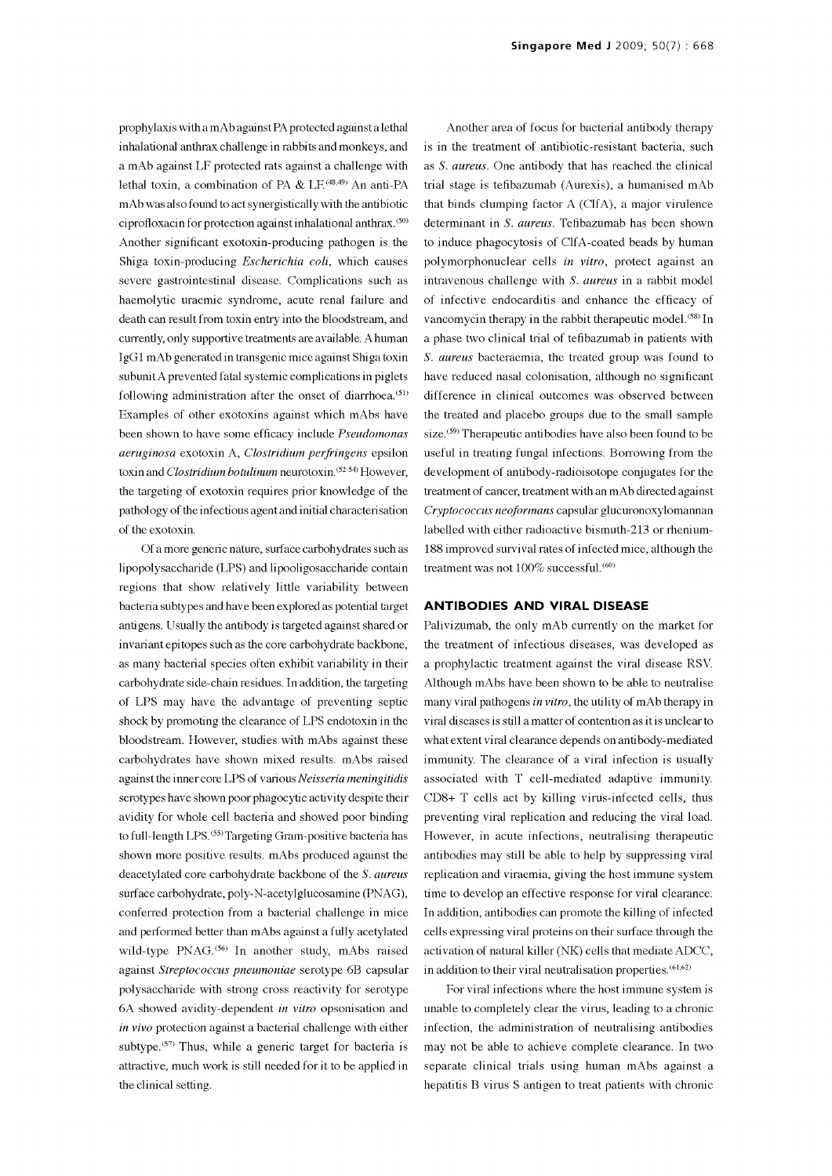prophylaxis with a mAb against PA protected against a lethal inhalational anthrax challenge in rabbits and monkeys, and a mAb against LF protected rats against a challenge with lethal toxin, a combination of PA & LF.<sup>(48,49)</sup> An anti-PA mAb was also found to act synergistically with the antibiotic ciproftoxacin for protection against inhalational anthrax.'5o' Another significant exotoxin-producing pathogen is the Shiga toxin-producing *Escherichia coli*, which causes severe gastrointestinal disease. Complications such as haemolytic uraemic syndrome, acute renal failure and death can result from toxin entry into the bloodstream, and currently, only supportive treatments are available. A human IgG1 mAb generated in transgenic mice against Shiga toxin subunit A prevented fatal systemic complications in piglets following administration after the onset of diarrhoea. $(51)$ Examples of other exotoxins against which mAbs have been shown to have some efficacy include Pseudomonas aeruginosa exotoxin A, Clostridium perfringens epsilon toxin and *Clostridium botulinum* neurotoxin.<sup>(52-54)</sup> However, the targeting of exotoxin requires prior knowledge of the pathology of the infectious agent and initial characterisation of the exotoxin.

Of a more generic nature, surface carbohydrates such as lipopolysaccharide (LPS) and lipoolgosaccharide contain regions that show relatively little variability between bacteria subtypes and have been explored as potential target antigens. Usually the antibody is targeted against shared or invariant epitopes such as the core carbohydrate backbone, as many bacterial species often exhibit variability in their carbohydrate side -chain residues. In addition, the targeting of LPS may have the advantage of preventing septic shock by promoting the clearance of LPS endotoxin in the bloodstream. However, studies with mAbs against these carbohydrates have shown mixed results. mAbs raised against the inner core LPS of various Neisseria meningitidis serotypes have shown poor phagocytic activity despite their avidity for whole cell bacteria and showed poor binding to full-length LPS.<sup>(55)</sup> Targeting Gram-positive bacteria has shown more positive results. mAbs produced against the deacetylated core carbohydrate backbone of the S. aureus surface carbohydrate, poly-N-acetylglucosamine (PNAG), conferred protection from a bacterial challenge in mice and performed better than mAbs against a fully acetylated wild-type PNAG.<sup>(56)</sup> In another study, mAbs raised against Streptococcus pneumoniae serotype 6B capsular polysaccharide with strong cross reactivity for serotype 6A showed avidity -dependent in vitro opsonisation and in vivo protection against a bacterial challenge with either subtype.<sup> $(57)$ </sup> Thus, while a generic target for bacteria is attractive, much work is still needed for it to be applied in the clinical setting.

Another area of focus for bacterial antibody therapy is in the treatment of antibiotic -resistant bacteria, such as S. aureus. One antibody that has reached the clinical trial stage is tefibazumab (Aurexis), a humanised mAb that binds clumping factor A (C1fA), a major virulence determinant in S. aureus. Tefibazumab has been shown to induce phagocytosis of CIfA-coated beads by human polymorphonuclear cells in vitro, protect against an intravenous challenge with S. aureus in a rabbit model of infective endocarditis and enhance the efficacy of vancomycin therapy in the rabbit therapeutic model. (58) In a phase two clinical trial of tefibazumab in patients with S. aureus bacteraemia, the treated group was found to have reduced nasal colonisation, although no significant difference in clinical outcomes was observed between the treated and placebo groups due to the small sample size.<sup>(59)</sup> Therapeutic antibodies have also been found to be useful in treating fungal infections. Borrowing from the development of antibody -radioisotope conjugates for the treatment of cancer, treatment with an mAb directed against Cryptococcus neoformans capsular glucuronoxylomannan labelled with either radioactive bismuth-213 or rhenium-188 improved survival rates of infected mice, although the treatment was not 100% successful.<sup>(60)</sup>

#### ANTIBODIES AND VIRAL DISEASE

Palivizumab, the only mAb currently on the market for the treatment of infectious diseases, was developed as a prophylactic treatment against the viral disease RSV. Although mAbs have been shown to be able to neutralise many viral pathogens in vitro, the utility of mAb therapy in viral diseases is still a matter of contention as it is unclear to what extent viral clearance depends on antibody-mediated immunity. The clearance of a viral infection is usually associated with T cell-mediated adaptive immunity.  $CD8+T$  cells act by killing virus-infected cells, thus preventing viral replication and reducing the viral load. However, in acute infections, neutralising therapeutic antibodies may still be able to help by suppressing viral replication and viraemia, giving the host immune system time to develop an effective response for viral clearance. In addition, antibodies can promote the killing of infected cells expressing viral proteins on their surface through the activation of natural killer (NK) cells that mediate ADCC, in addition to their viral neutralisation properties.  $(61, 62)$ 

For viral infections where the host immune system is unable to completely clear the virus, leading to a chronic infection, the administration of neutralising antibodies may not be able to achieve complete clearance. In two separate clinical trials using human mAbs against a hepatitis B virus S antigen to treat patients with chronic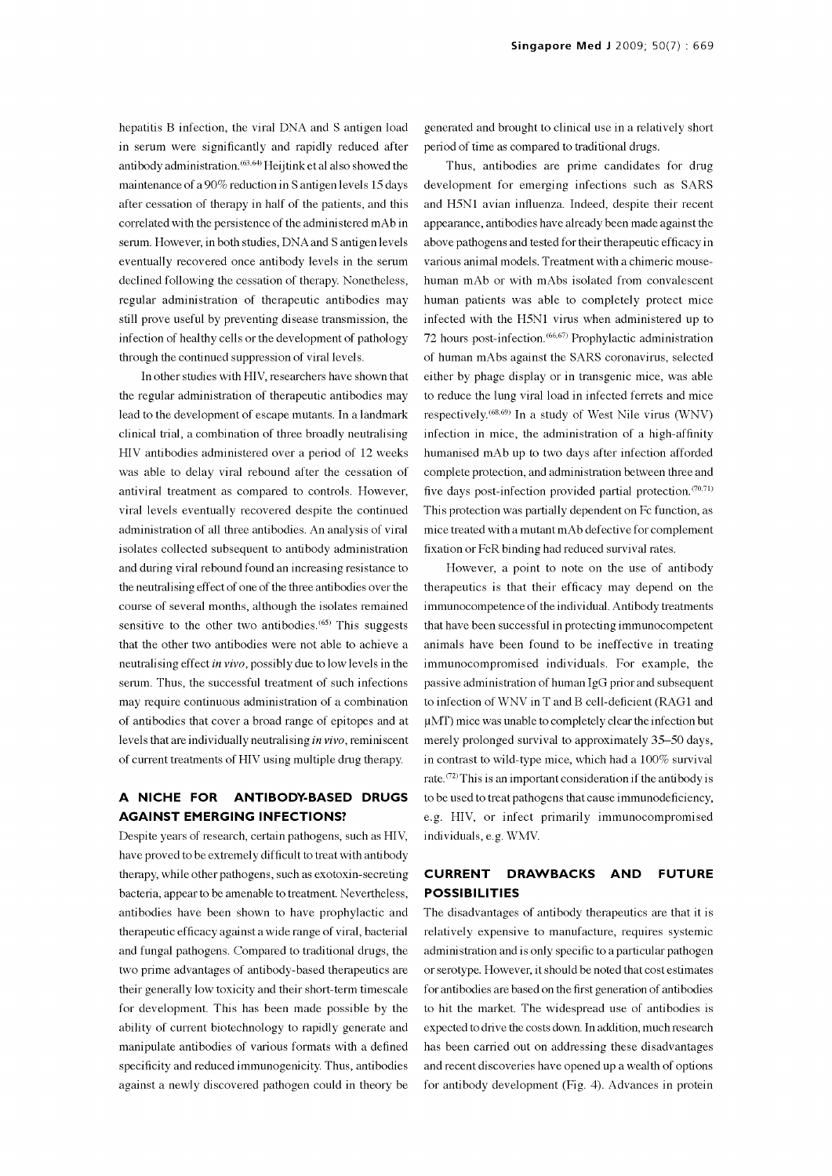hepatitis B infection, the viral DNA and S antigen load in serum were significantly and rapidly reduced after antibody administration.<sup>(63,64)</sup> Heijtink et al also showed the maintenance of a 90% reduction in S antigen levels 15 days after cessation of therapy in half of the patients, and this correlated with the persistence of the administered mAb in serum. However, in both studies, DNA and S antigen levels eventually recovered once antibody levels in the serum declined following the cessation of therapy. Nonetheless, regular administration of therapeutic antibodies may still prove useful by preventing disease transmission, the infection of healthy cells or the development of pathology through the continued suppression of viral levels.

In other studies with HIV, researchers have shown that the regular administration of therapeutic antibodies may lead to the development of escape mutants. In a landmark clinical trial, a combination of three broadly neutralising HIV antibodies administered over a period of 12 weeks was able to delay viral rebound after the cessation of antiviral treatment as compared to controls. However, viral levels eventually recovered despite the continued administration of all three antibodies. An analysis of viral isolates collected subsequent to antibody administration and during viral rebound found an increasing resistance to the neutralising effect of one of the three antibodies over the course of several months, although the isolates remained sensitive to the other two antibodies.<sup> $(65)$ </sup> This suggests that the other two antibodies were not able to achieve a neutralising effect in vivo, possibly due to low levels in the serum. Thus, the successful treatment of such infections may require continuous administration of a combination of antibodies that cover a broad range of epitopes and at levels that are individually neutralising in vivo, reminiscent of current treatments of HIV using multiple drug therapy.

#### A NICHE FOR ANTIBODY-BASED DRUGS AGAINST EMERGING INFECTIONS?

Despite years of research, certain pathogens, such as HIV, have proved to be extremely difficult to treat with antibody therapy, while other pathogens, such as exotoxin-secreting **CURRENT** bacteria, appear to be amenable to treatment. Nevertheless, antibodies have been shown to have prophylactic and therapeutic efficacy against a wide range of viral, bacterial and fungal pathogens. Compared to traditional drugs, the two prime advantages of antibody -based therapeutics are their generally low toxicity and their short-term timescale for development. This has been made possible by the ability of current biotechnology to rapidly generate and manipulate antibodies of various formats with a defined specificity and reduced immunogenicity. Thus, antibodies against a newly discovered pathogen could in theory be

generated and brought to clinical use in a relatively short period of time as compared to traditional drugs.

Thus, antibodies are prime candidates for drug development for emerging infections such as SARS and H5N1 avian influenza. Indeed, despite their recent appearance, antibodies have already been made against the above pathogens and tested for their therapeutic efficacy in various animal models. Treatment with a chimeric mouse human mAb or with mAbs isolated from convalescent human patients was able to completely protect mice infected with the H5N1 virus when administered up to 72 hours post-infection.(66,67) Prophylactic administration of human mAbs against the SARS coronavirus, selected either by phage display or in transgenic mice, was able to reduce the lung viral load in infected ferrets and mice respectively.(68,69) In a study of West Nile virus (WNV) infection in mice, the administration of a high-affinity humanised mAb up to two days after infection afforded complete protection, and administration between three and five days post-infection provided partial protection. $(70,71)$ This protection was partially dependent on Fc function, as mice treated with a mutant mAb defective for complement fixation or FcR binding had reduced survival rates.

However, a point to note on the use of antibody therapeutics is that their efficacy may depend on the immunocompetence of the individual. Antibody treatments that have been successful in protecting immunocompetent animals have been found to be ineffective in treating immunocompromised individuals. For example, the passive administration of human IgG prior and subsequent to infection of WNV in T and B cell -deficient (RAG1 and µMT) mice was unable to completely clear the infection but merely prolonged survival to approximately 35-50 days, in contrast to wild-type mice, which had a 100% survival rate.  $(72)$  This is an important consideration if the antibody is to be used to treat pathogens that cause immunodeficiency, e.g. HIV, or infect primarily immunocompromised individuals, e.g. WMV.

#### DRAWBACKS AND FUTURE POSSIBILITIES

The disadvantages of antibody therapeutics are that it is relatively expensive to manufacture, requires systemic administration and is only specific to a particular pathogen or serotype. However, it should be noted that cost estimates for antibodies are based on the first generation of antibodies to hit the market. The widespread use of antibodies is expected to drive the costs down. In addition, much research has been carried out on addressing these disadvantages and recent discoveries have opened up a wealth of options for antibody development (Fig. 4). Advances in protein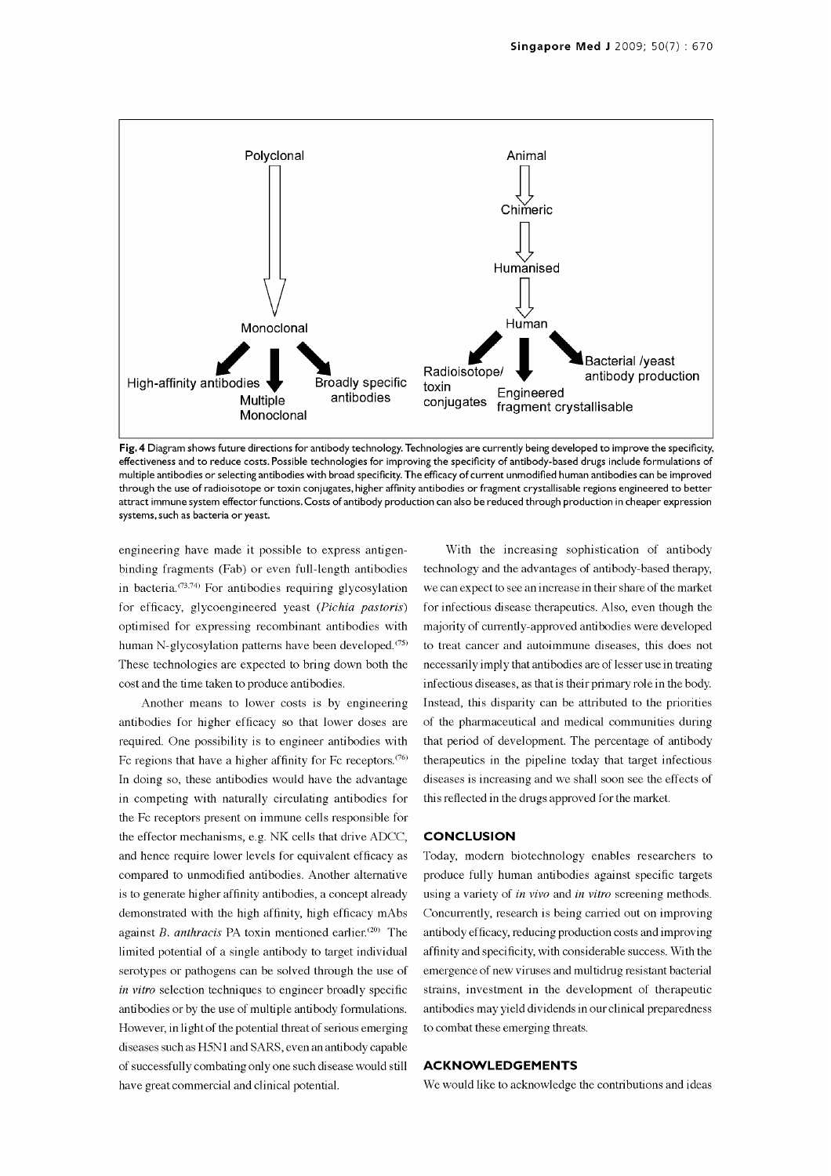

Fig. 4 Diagram shows future directions for antibody technology. Technologies are currently being developed to improve the specificity, effectiveness and to reduce costs. Possible technologies for improving the specificity of antibody -based drugs include formulations of multiple antibodies or selecting antibodies with broad specificity. The efficacy of current unmodified human antibodies can be improved through the use of radioisotope or toxin conjugates, higher affinity antibodies or fragment crystallisable regions engineered to better attract immune system effector functions. Costs of antibody production can also be reduced through production in cheaper expression systems, such as bacteria or yeast.

engineering have made it possible to express antigenbinding fragments (Fab) or even full-length antibodies technology and the advantages of antibody-based therapy, in bacteria. $(73,74)$  For antibodies requiring glycosylation for efficacy, glycoengineered yeast (Pichia pastoris) optimised for expressing recombinant antibodies with human N-glycosylation patterns have been developed.<sup>(75)</sup> These technologies are expected to bring down both the cost and the time taken to produce antibodies.

Another means to lower costs is by engineering antibodies for higher efficacy so that lower doses are required. One possibility is to engineer antibodies with Fc regions that have a higher affinity for Fc receptors.<sup> $(76)$ </sup> In doing so, these antibodies would have the advantage in competing with naturally circulating antibodies for the Fc receptors present on immune cells responsible for the effector mechanisms, e.g. NK cells that drive ADCC, and hence require lower levels for equivalent efficacy as compared to unmodified antibodies. Another alternative is to generate higher affinity antibodies, a concept already demonstrated with the high affinity, high efficacy mAbs against B. anthracis PA toxin mentioned earlier.<sup>(20)</sup> The limited potential of a single antibody to target individual serotypes or pathogens can be solved through the use of in vitro selection techniques to engineer broadly specific antibodies or by the use of multiple antibody formulations. However, in light of the potential threat of serious emerging diseases such as H5N1 and SARS, even an antibody capable of successfully combating only one such disease would still have great commercial and clinical potential.

With the increasing sophistication of antibody we can expect to see an increase in their share of the market for infectious disease therapeutics. Also, even though the majority of currently -approved antibodies were developed to treat cancer and autoimmune diseases, this does not necessarily imply that antibodies are of lesser use in treating infectious diseases, as that is their primary role in the body. Instead, this disparity can be attributed to the priorities of the pharmaceutical and medical communities during that period of development. The percentage of antibody therapeutics in the pipeline today that target infectious diseases is increasing and we shall soon see the effects of this reflected in the drugs approved for the market.

#### **CONCLUSION**

Today, modern biotechnology enables researchers to produce fully human antibodies against specific targets using a variety of in vivo and in vitro screening methods. Concurrently, research is being carried out on improving antibody efficacy, reducing production costs and improving affinity and specificity, with considerable success. With the emergence of new viruses and multidrug resistant bacterial strains, investment in the development of therapeutic antibodies may yield dividends in our clinical preparedness to combat these emerging threats.

#### ACKNOWLEDGEMENTS

We would like to acknowledge the contributions and ideas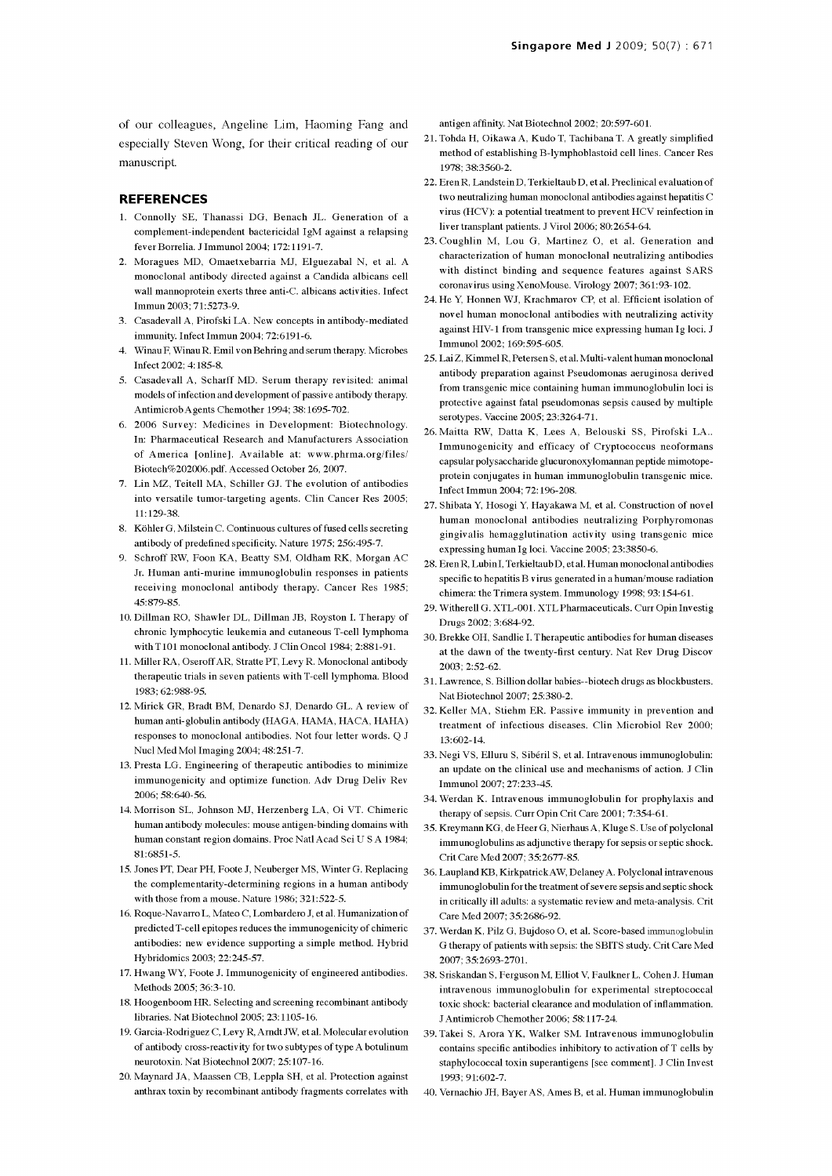of our colleagues, Angeline Lim, Haoming Fang and especially Steven Wong, for their critical reading of our manuscript.

#### REFERENCES

- 1. Connolly SE, Thanassi DG, Benach JL. Generation of a complement -independent bactericidal IgM against a relapsing fever Borrelia. J Immunol 2004; 172:1191-7.
- 2. Moragues MD, Omaetxebarria MJ, Elguezabal N, et al. A monoclonal antibody directed against a Candida albicans cell wall mannoprotein exerts three anti -C. albicans activities. Infect Immun 2003; 71:5273-9.
- 3. Casadevall A, Pirofski LA. New concepts in antibody -mediated immunity. Infect Immun 2004; 72:6191-6.
- 4. Winau F, Winau R. Emil von Behring and serum therapy. Microbes Infect 2002; 4:185-8.
- 5. Casadevall A, Scharff MD. Serum therapy revisited: animal models of infection and development of passive antibody therapy. AntimicrobAgents Chemother 1994; 38:1695-702.
- 6. 2006 Survey: Medicines in Development: Biotechnology. In: Pharmaceutical Research and Manufacturers Association of America [online]. Available at: www.phrma.org/files/ Biotech%202006.pdf. Accessed October 26, 2007.
- 7. Lin MZ, Teitell MA, Schiller GJ. The evolution of antibodies into versatile tumor-targeting agents. Clin Cancer Res 2005; 11:129-38.
- 8. Köhler G, Milstein C. Continuous cultures of fused cells secreting antibody of predefined specificity. Nature 1975; 256:495-7.
- 9. Schroff RW, Foon KA, Beatty SM, Oldham RK, Morgan AC Jr. Human anti-murine immunoglobulin responses in patients receiving monoclonal antibody therapy. Cancer Res 1985; 45: 879-85.
- 10. Dillman RO, Shawler DL, Dillman JB, Royston I. Therapy of chronic lymphocytic leukemia and cutaneous T -cell lymphoma with T101 monoclonal antibody. J Clin Oncol 1984; 2:881-91.
- 11. Miller RA, Oseroff AR, Stratte PT, Levy R. Monoclonal antibody therapeutic trials in seven patients with T -cell lymphoma. Blood 1983; 62:988-95.
- 12. Mirick GR, Bradt BM, Denardo SJ, Denardo GL. A review of human anti-globulin antibody (HAGA, HAMA, HACA, HAHA) responses to monoclonal antibodies. Not four letter words. Q J Nucl Med Mol Imaging 2004; 48:251-7.
- 13. Presta LG. Engineering of therapeutic antibodies to minimize immunogenicity and optimize function. Adv Drug Deliv Rev 2006; 58:640-56.
- 14. Morrison SL, Johnson MJ, Herzenberg LA, Oi VT. Chimeric human antibody molecules: mouse antigen-binding domains with human constant region domains. Proc Natl Acad Sci U S A 1984; 81: 6851-5.
- 15. Jones PT, Dear PH, Foote J, Neuberger MS, Winter G. Replacing the complementarity-determining regions in a human antibody with those from a mouse. Nature 1986; 321:522-5.
- 16. Roque -Navarro L, Mateo C, Lombardero J, et al. Humanization of predicted T -cell epitopes reduces the immunogenicity of chimeric antibodies: new evidence supporting a simple method. Hybrid Hybridomics 2003; 22:245-57.
- 17. Hwang WY, Foote J. Immunogenicity of engineered antibodies. Methods 2005; 36:3-10.
- 18. Hoogenboom HR. Selecting and screening recombinant antibody libraries. Nat Biotechnol 2005; 23:1105-16.
- 19. Garcia -Rodriguez C, Levy R, Arndt JW, et al. Molecular evolution of antibody cross -reactivity for two subtypes of type A botulinum neurotoxin. Nat Biotechnol 2007; 25:107-16.
- 20. Maynard JA, Maassen CB, Leppla SH, et al. Protection against anthrax toxin by recombinant antibody fragments correlates with

antigen affinity. Nat Biotechnol 2002; 20:597-601.

- 21. Tohda H, Oikawa A, Kudo T, Tachibana T. A greatly simplified method of establishing B-lymphoblastoid cell lines. Cancer Res 1978; 38:3560-2.
- 22. ErenR, LandsteinD, Terkieltaub D, et al. Preclinical evaluation of two neutralizing human monoclonal antibodies against hepatitis <sup>C</sup> virus (HCV): a potential treatment to prevent HCV reinfection in liver transplant patients. J Virol 2006; 80:2654-64.
- 23. Coughlin M, Lou G, Martinez O, et al. Generation and characterization of human monoclonal neutralizing antibodies with distinct binding and sequence features against SARS coronavirus using XenoMouse. Virology 2007; 361:93-102.
- 24. He Y, Honnen WJ, Krachmarov CP, et al. Efficient isolation of novel human monoclonal antibodies with neutralizing activity against HIV-1 from transgenic mice expressing human Ig loci. J Immunol 2002; 169:595-605.
- 25. Lai Z, Kimmel R, Petersen S, et al. Multi -valent human monoclonal antibody preparation against Pseudomonas aeruginosa derived from transgenic mice containing human immunoglobulin loci is protective against fatal pseudomonas sepsis caused by multiple serotypes. Vaccine 2005; 23:3264-71.
- 26. Maitta RW, Datta K, Lees A, Belouski SS, Pirofski LA.. Immunogenicity and efficacy of Cryptococcus neoformans capsular polysaccharide glucuronoxylomannan peptide mimotopeprotein conjugates in human immunoglobulin transgenic mice. Infect Immun 2004; 72:196-208.
- 27. Shibata Y, Hosogi Y, Hayakawa M, et al. Construction of novel human monoclonal antibodies neutralizing Porphyromonas gingivalis hemagglutination activity using trans genic mice expressing human Ig loci. Vaccine 2005; 23:3850-6.
- 28. Eren R, Lubin I, Terkieltaub D, et al. Human monoclonal antibodies specific to hepatitis B virus generated in a human/mouse radiation chimera: the Trimera system. Immunology 1998; 93:154-61.
- 29. Witherell G. XTL-001. XTL Pharmaceuticals. Curr Opin Investig Drugs 2002; 3:684-92.
- 30. Brekke OH, Sandlie I. Therapeutic antibodies for human diseases at the dawn of the twenty-first century. Nat Rev Drug Discov 2003; 2:52-62.
- 31. Lawrence, S. Billion dollar babies -- biotech drugs as blockbusters. Nat Biotechnol 2007; 25:380-2.
- 32. Keller MA, Stiehm ER. Passive immunity in prevention and treatment of infectious diseases. Clin Microbiol Rev 2000; 13:602-14.
- 33. Negi VS, Elluru S, Sibéril S, et al. Intravenous immunoglobulin: an update on the clinical use and mechanisms of action. J Clin Immunol 2007; 27:233-45.
- 34. Werdan K. Intravenous immunoglobulin for prophylaxis and therapy of sepsis. Curr Opin Crit Care 2001; 7:354-61.
- 35. Kreymann KG, de Heer G, Nierhaus A, Kluge S. Use of polyclonal immunoglobulins as adjunctive therapy for sepsis or septic shock. Crit Care Med 2007; 35:2677-85.
- 36. Laupland KB, KirkpatrickAW, Delaney A. Polyclonal intravenous immunoglobulin for the treatment of severe sepsis and septic shock in critically ill adults: a systematic review and meta-analysis. Crit Care Med 2007; 35:2686-92.
- 37. Werdan K, Pilz G, Bujdoso O, et al. Score -based immunoglobulin G therapy of patients with sepsis: the SBITS study. Crit Care Med 2007; 35:2693-2701.
- 38. Sriskandan S, Ferguson M, Elliot V, Faulkner L, Cohen J. Human intravenous immunoglobulin for experimental streptococcal toxic shock: bacterial clearance and modulation of inflammation. J Antimicrob Chemother 2006; 58:117-24.
- 39. Takei S, Arora YK, Walker SM. Intravenous immunoglobulin contains specific antibodies inhibitory to activation of T cells by staphylococcal toxin superantigens [see comment]. J Clin Invest 1993; 91:602-7.
- 40. Vernachio JH, Bayer AS, Ames B, et al. Human immunoglobulin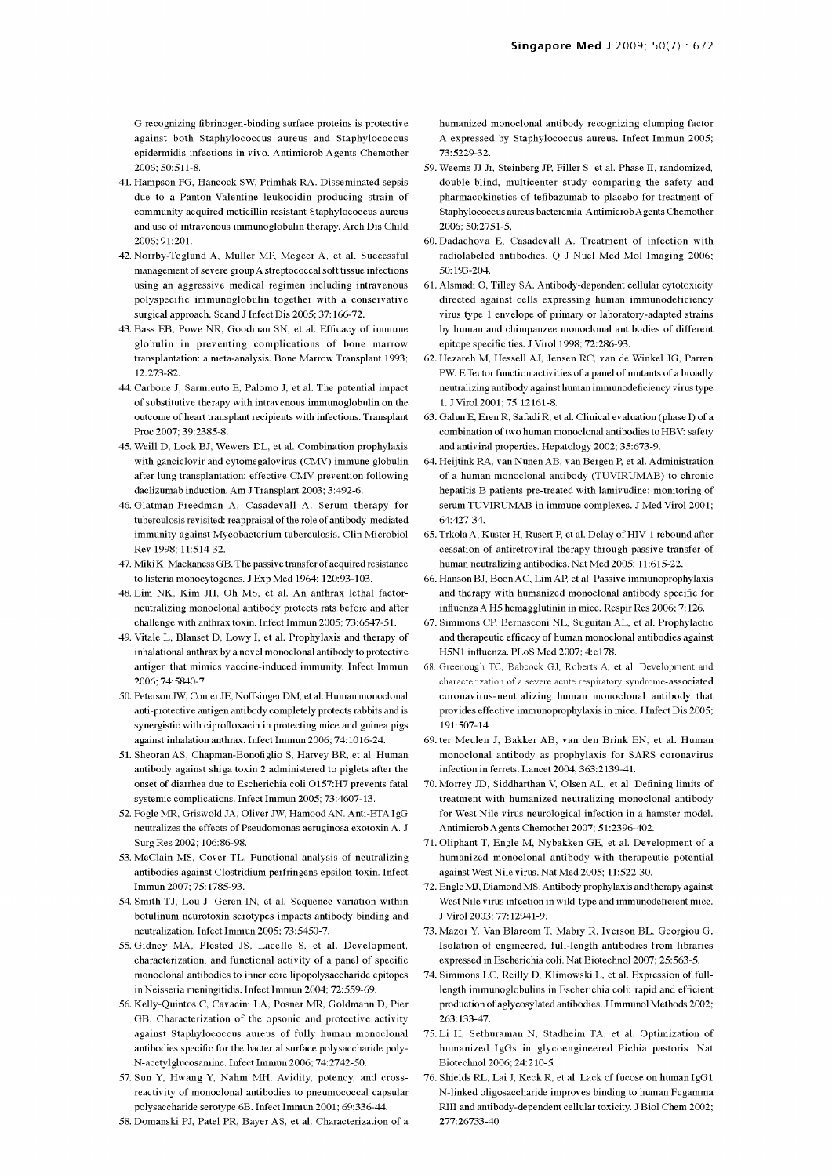G recognizing fibrinogen -binding surface proteins is protective against both Staphylococcus aureus and Staphylococcus epidermidis infections in vivo. Antimicrob Agents Chemother 2006; 50:511-8.

- 41. Hampson FG, Hancock SW, Primhak RA. Disseminated sepsis due to a Panton-Valentine leukocidin producing strain of community acquired meticillin resistant Staphylococcus aureus and use of intravenous immunoglobulin therapy. Arch Dis Child 2006; 91:201.
- 42. Norrby-Teglund A, Muller MP, Mcgeer A, et al. Successful management of severe group A streptococcal soft tissue infections using an aggressive medical regimen including intravenous polyspecific immunoglobulin together with a conservative surgical approach. Scand J Infect Dis 2005; 37:166-72.
- 43. Bass EB, Powe NR, Goodman SN, et al. Efficacy of immune globulin in preventing complications of bone marrow transplantation: a meta-analysis. Bone Marrow Transplant 1993; 12:273-82.
- 44. Carbone J, Sarmiento E, Palomo J, et al. The potential impact of substitutive therapy with intravenous immunoglobulin on the outcome of heart transplant recipients with infections. Transplant Proc 2007; 39:2385-8.
- 45. Weill D, Lock BJ, Wewers DL, et al. Combination prophylaxis with ganciclovir and cytomegalovirus (CMV) immune globulin after lung transplantation: effective CMV prevention following daclizumab induction. Am J Transplant 2003; 3:492-6.
- 46. Glatman-Freedman A, Casadevall A. Serum therapy for tuberculosis revisited: reappraisal of the role of antibody -mediated immunity against Mycobacterium tuberculosis. Clin Microbiol Rev 1998; 11:514-32.
- 47. Miki K, Mackaness GB. The passive transfer of acquired resistance to listeria monocytogenes. J Exp Med 1964; 120:93-103.
- 48. Lim NK, Kim JH, Oh MS, et al. An anthrax lethal factorneutralizing monoclonal antibody protects rats before and after challenge with anthrax toxin. Infect Immun 2005; 73:6547-51.
- 49. Vitale L, Blanset D, Lowy I, et al. Prophylaxis and therapy of inhalational anthrax by a novel monoclonal antibody to protective antigen that mimics vaccine -induced immunity. Infect Immun 2006; 74:5840-7.
- 50. Peterson JW, Comer JE, Noffsinger DM, et al. Human monoclonal anti-protective antigen antibody completely protects rabbits and is synergistic with ciprofloxacin in protecting mice and guinea pigs against inhalation anthrax. Infect Immun 2006; 74:1016-24.
- 51. Sheoran AS, Chapman-Bonofiglio S, Harvey BR, et al. Human antibody against shiga toxin 2 administered to piglets after the onset of diarrhea due to Escherichia coli O157:H7 prevents fatal systemic complications. Infect Immun 2005; 73:4607-13.
- 52. Fogle MR, Griswold JA, Oliver JW, Hamood AN. Anti-ETA IgG neutralizes the effects of Pseudomonas aeruginosa exotoxin A. J Surg Res 2002; 106:86-98.
- 53. McClain MS, Cover TL. Functional analysis of neutralizing antibodies against Clostridium perfringens epsilon -toxin. Infect Immun 2007; 75:1785-93.
- 54. Smith TJ, Lou J, Geren IN, et al. Sequence variation within botulinum neurotoxin serotypes impacts antibody binding and neutralization. Infect Immun 2005; 73:5450-7.
- 55. Gidney MA, Plested JS, Lacelle S, et al. Development, characterization, and functional activity of a panel of specific monoclonal antibodies to inner core lipopolysaccharide epitopes in Neisseria meningitidis. Infect Immun 2004; 72:559-69.
- 56. Kelly -Quintos C, Cavacini LA, Posner MR, Goldmann D, Pier GB. Characterization of the opsonic and protective activity against Staphylococcus aureus of fully human monoclonal antibodies specific for the bacterial surface polysaccharide poly-N-acetylglucosamine. Infect Immun 2006; 74:2742-50.
- 57. Sun Y, Hwang Y, Nahm MH. Avidity, potency, and cross reactivity of monoclonal antibodies to pneumococcal capsular polysaccharide serotype 6B. Infect Immun 2001; 69:336-44.
- 58. Domanski PJ, Patel PR, Bayer AS, et al. Characterization of a

humanized monoclonal antibody recognizing clumping factor A expressed by Staphylococcus aureus. Infect Immun 2005; 73:5229-32.

- 59. Weems JJ Jr, Steinberg JP, Filler S, et al. Phase II, randomized, double-blind, multicenter study comparing the safety and pharmacokinetics of tefibazumab to placebo for treatment of Staphylococcus aureus bacteremia. Antimicrob Agents Chemother 2006; 50:2751-5.
- 60. Dadachova E, Casadevall A. Treatment of infection with radiolabeled antibodies. Q J Nucl Med Mol Imaging 2006; 50:193-204.
- 61. Alsmadi O, Tilley SA. Antibody -dependent cellular cytotoxicity directed against cells expressing human immunodeficiency virus type 1 envelope of primary or laboratory -adapted strains by human and chimpanzee monoclonal antibodies of different epitope specificities. J Virol 1998; 72:286-93.
- 62. Hezareh M, Hessell AJ, Jensen RC, van de Winkel JG, Parren PW. Effector function activities of a panel of mutants of a broadly neutralizing antibody against human immunodeficiency virus type 1. J Virol 2001; 75:12161-8.
- 63. Galun E, Eren R, Safadi R, et al. Clinical evaluation (phase I) of a combination of two human monoclonal antibodies to HBV: safety and antiviral properties. Hepatology 2002; 35:673-9.
- 64. Heijtink RA, van Nunen AB, van Bergen P, et al. Administration of a human monoclonal antibody (TUVIRUMAB) to chronic hepatitis B patients pre-treated with lamivudine: monitoring of serum TUVIRUMAB in immune complexes. J Med Virol 2001; 64:427-34.
- 65. Trkola A, Kuster H, Rusert P, et al. Delay of HIV -1 rebound after cessation of antiretroviral therapy through passive transfer of human neutralizing antibodies. Nat Med 2005; 11:615-22.
- 66. Hanson BJ, Boon AC, Lim AP, et al. Passive immunoprophylaxis and therapy with humanized monoclonal antibody specific for influenza A H5 hemagglutinin in mice. Respir Res 2006; 7:126.
- 67. Simmons CP, Bernasconi NL, Suguitan AL, et al. Prophylactic and therapeutic efficacy of human monoclonal antibodies against H5N1 influenza. PLoS Med 2007; 4:e178.
- 68. Greenough TC, Babcock GJ, Roberts A, et al. Development and characterization of a severe acute respiratory syndrome -associated coronavirus-neutralizing human monoclonal antibody that provides effective immunoprophylaxis in mice. J Infect Dis 2005; 191:507-14.
- 69. ter Meulen J, Bakker AB, van den Brink EN, et al. Human monoclonal antibody as prophylaxis for SARS coronavirus infection in ferrets. Lancet 2004; 363:2139-41.
- 70. Morrey JD, Siddharthan V, Olsen AL, et al. Defining limits of treatment with humanized neutralizing monoclonal antibody for West Nile virus neurological infection in a hamster model. Antimicrob Agents Chemother 2007; 51:2396-402.
- 71. Oliphant T, Engle M, Nybakken GE, et al. Development of a humanized monoclonal antibody with therapeutic potential against West Nile virus. Nat Med 2005; 11:522-30.
- 72. Engle MJ, Diamond MS. Antibody prophylaxis and therapy against West Nile virus infection in wild -type and immunodeficient mice. J Virol 2003; 77:12941-9.
- 73. Mazor Y, Van Blarcom T, Mabry R, Iverson BL, Georgiou G. Isolation of engineered, full-length antibodies from libraries expressed in Escherichia coli. Nat Biotechnol 2007; 25:563-5.
- 74. Simmons LC, Reilly D, Klimowski L, et al. Expression of fulllength immunoglobulins in Escherichia coli: rapid and efficient production of aglycosylated antibodies. J Immunol Methods 2002; 263:133-47.
- 75. Li H, Sethuraman N, Stadheim TA, et al. Optimization of humanized IgGs in glycoengineered Pichia pastoris. Nat Biotechnol 2006; 24:210-5.
- 76. Shields RL, Lai J, Keck R, et al. Lack of fucose on human IgG1 N -linked oligosaccharide improves binding to human Fcgamma Rill and antibody -dependent cellular toxicity. J Biol Chem 2002; 277:26733-40.